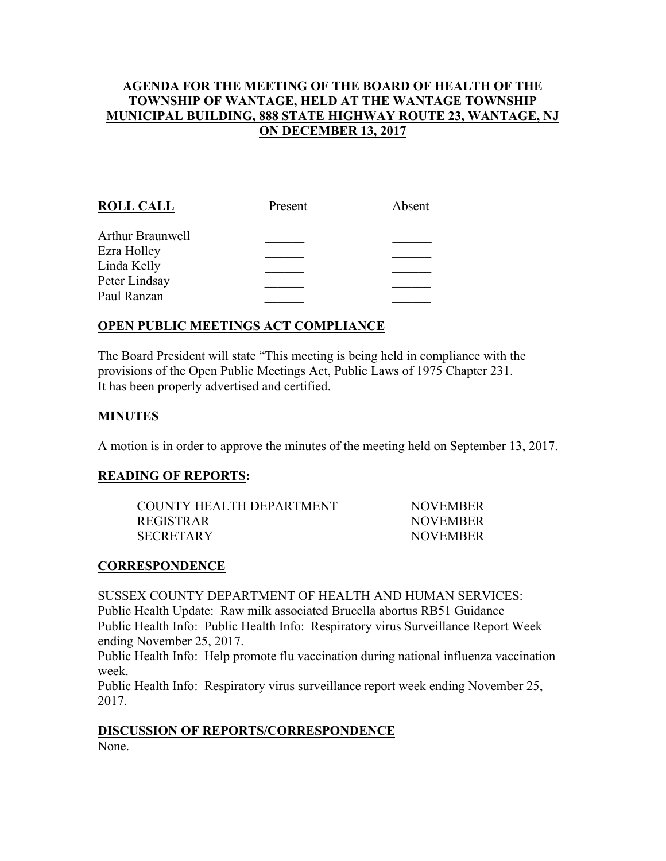## **AGENDA FOR THE MEETING OF THE BOARD OF HEALTH OF THE TOWNSHIP OF WANTAGE, HELD AT THE WANTAGE TOWNSHIP MUNICIPAL BUILDING, 888 STATE HIGHWAY ROUTE 23, WANTAGE, NJ ON DECEMBER 13, 2017**

| <b>ROLL CALL</b> | Present | Absent |
|------------------|---------|--------|
| Arthur Braunwell |         |        |
| Ezra Holley      |         |        |
| Linda Kelly      |         |        |
| Peter Lindsay    |         |        |
| Paul Ranzan      |         |        |
|                  |         |        |

# **OPEN PUBLIC MEETINGS ACT COMPLIANCE**

The Board President will state "This meeting is being held in compliance with the provisions of the Open Public Meetings Act, Public Laws of 1975 Chapter 231. It has been properly advertised and certified.

### **MINUTES**

A motion is in order to approve the minutes of the meeting held on September 13, 2017.

### **READING OF REPORTS:**

| COUNTY HEALTH DEPARTMENT | <b>NOVEMBER</b> |
|--------------------------|-----------------|
| REGISTRAR                | <b>NOVEMBER</b> |
| SECRETARY                | <b>NOVEMBER</b> |

### **CORRESPONDENCE**

SUSSEX COUNTY DEPARTMENT OF HEALTH AND HUMAN SERVICES:

Public Health Update: Raw milk associated Brucella abortus RB51 Guidance Public Health Info: Public Health Info: Respiratory virus Surveillance Report Week ending November 25, 2017.

Public Health Info: Help promote flu vaccination during national influenza vaccination week.

Public Health Info: Respiratory virus surveillance report week ending November 25, 2017.

# **DISCUSSION OF REPORTS/CORRESPONDENCE**

None.